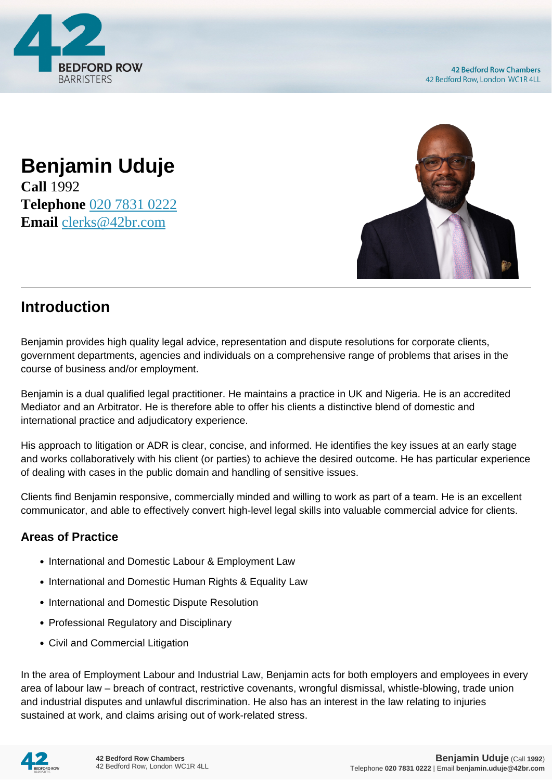

## **Benjamin Uduje Call** 1992 **Telephone** [020 7831 0222](https://pdf.codeshore.co/_42br/tel:020 7831 0222) **Email** [clerks@42br.com](mailto:clerks@42br.com)



# **Introduction**

Benjamin provides high quality legal advice, representation and dispute resolutions for corporate clients, government departments, agencies and individuals on a comprehensive range of problems that arises in the course of business and/or employment.

Benjamin is a dual qualified legal practitioner. He maintains a practice in UK and Nigeria. He is an accredited Mediator and an Arbitrator. He is therefore able to offer his clients a distinctive blend of domestic and international practice and adjudicatory experience.

His approach to litigation or ADR is clear, concise, and informed. He identifies the key issues at an early stage and works collaboratively with his client (or parties) to achieve the desired outcome. He has particular experience of dealing with cases in the public domain and handling of sensitive issues.

Clients find Benjamin responsive, commercially minded and willing to work as part of a team. He is an excellent communicator, and able to effectively convert high-level legal skills into valuable commercial advice for clients.

### **Areas of Practice**

- International and Domestic Labour & Employment Law
- International and Domestic Human Rights & Equality Law
- International and Domestic Dispute Resolution
- Professional Regulatory and Disciplinary
- Civil and Commercial Litigation

In the area of Employment Labour and Industrial Law, Benjamin acts for both employers and employees in every area of labour law – breach of contract, restrictive covenants, wrongful dismissal, whistle-blowing, trade union and industrial disputes and unlawful discrimination. He also has an interest in the law relating to injuries sustained at work, and claims arising out of work-related stress.

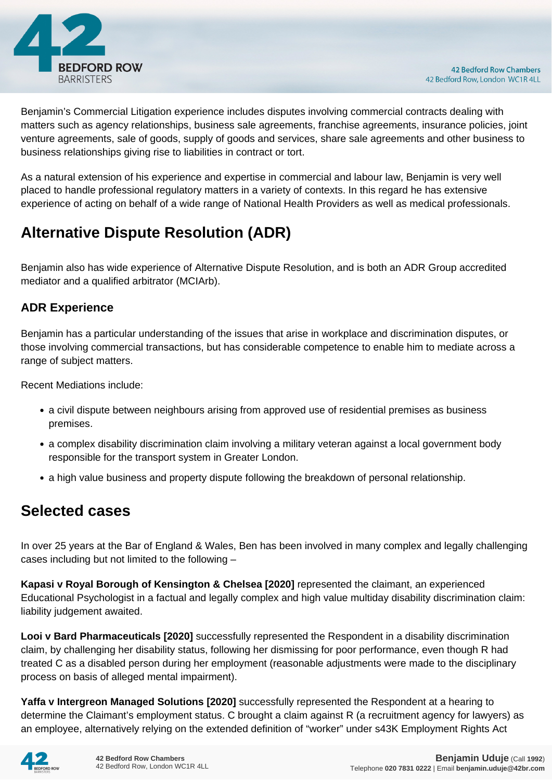

Benjamin's Commercial Litigation experience includes disputes involving commercial contracts dealing with matters such as agency relationships, business sale agreements, franchise agreements, insurance policies, joint venture agreements, sale of goods, supply of goods and services, share sale agreements and other business to business relationships giving rise to liabilities in contract or tort.

As a natural extension of his experience and expertise in commercial and labour law, Benjamin is very well placed to handle professional regulatory matters in a variety of contexts. In this regard he has extensive experience of acting on behalf of a wide range of National Health Providers as well as medical professionals.

# **Alternative Dispute Resolution (ADR)**

Benjamin also has wide experience of Alternative Dispute Resolution, and is both an ADR Group accredited mediator and a qualified arbitrator (MCIArb).

#### **ADR Experience**

Benjamin has a particular understanding of the issues that arise in workplace and discrimination disputes, or those involving commercial transactions, but has considerable competence to enable him to mediate across a range of subject matters.

Recent Mediations include:

- a civil dispute between neighbours arising from approved use of residential premises as business premises.
- a complex disability discrimination claim involving a military veteran against a local government body responsible for the transport system in Greater London.
- a high value business and property dispute following the breakdown of personal relationship.

## **Selected cases**

In over 25 years at the Bar of England & Wales, Ben has been involved in many complex and legally challenging cases including but not limited to the following –

**Kapasi v Royal Borough of Kensington & Chelsea [2020]** represented the claimant, an experienced Educational Psychologist in a factual and legally complex and high value multiday disability discrimination claim: liability judgement awaited.

**Looi v Bard Pharmaceuticals [2020]** successfully represented the Respondent in a disability discrimination claim, by challenging her disability status, following her dismissing for poor performance, even though R had treated C as a disabled person during her employment (reasonable adjustments were made to the disciplinary process on basis of alleged mental impairment).

**Yaffa v Intergreon Managed Solutions [2020]** successfully represented the Respondent at a hearing to determine the Claimant's employment status. C brought a claim against R (a recruitment agency for lawyers) as an employee, alternatively relying on the extended definition of "worker" under s43K Employment Rights Act

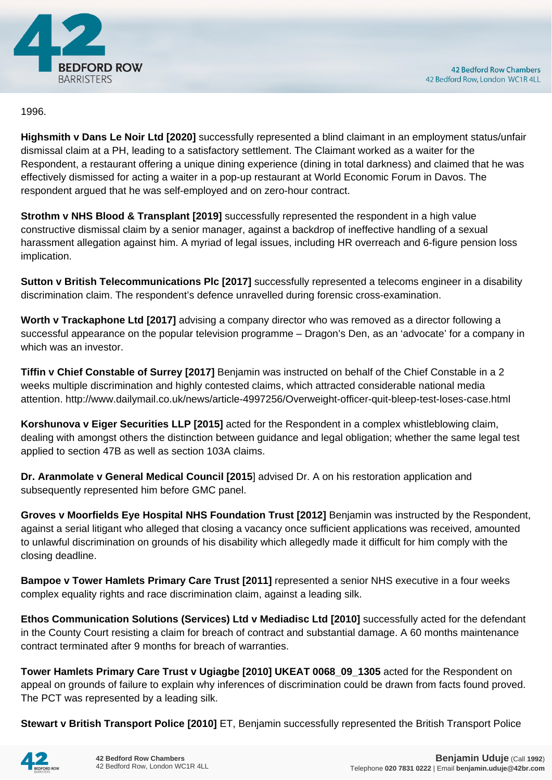

#### 1996.

**Highsmith v Dans Le Noir Ltd [2020]** successfully represented a blind claimant in an employment status/unfair dismissal claim at a PH, leading to a satisfactory settlement. The Claimant worked as a waiter for the Respondent, a restaurant offering a unique dining experience (dining in total darkness) and claimed that he was effectively dismissed for acting a waiter in a pop-up restaurant at World Economic Forum in Davos. The respondent argued that he was self-employed and on zero-hour contract.

**Strothm v NHS Blood & Transplant [2019]** successfully represented the respondent in a high value constructive dismissal claim by a senior manager, against a backdrop of ineffective handling of a sexual harassment allegation against him. A myriad of legal issues, including HR overreach and 6-figure pension loss implication.

**Sutton v British Telecommunications Plc [2017]** successfully represented a telecoms engineer in a disability discrimination claim. The respondent's defence unravelled during forensic cross-examination.

**Worth v Trackaphone Ltd [2017]** advising a company director who was removed as a director following a successful appearance on the popular television programme – Dragon's Den, as an 'advocate' for a company in which was an investor.

**Tiffin v Chief Constable of Surrey [2017]** Benjamin was instructed on behalf of the Chief Constable in a 2 weeks multiple discrimination and highly contested claims, which attracted considerable national media attention. http://www.dailymail.co.uk/news/article-4997256/Overweight-officer-quit-bleep-test-loses-case.html

**Korshunova v Eiger Securities LLP [2015]** acted for the Respondent in a complex whistleblowing claim, dealing with amongst others the distinction between guidance and legal obligation; whether the same legal test applied to section 47B as well as section 103A claims.

**Dr. Aranmolate v General Medical Council [2015**] advised Dr. A on his restoration application and subsequently represented him before GMC panel.

**Groves v Moorfields Eye Hospital NHS Foundation Trust [2012]** Benjamin was instructed by the Respondent, against a serial litigant who alleged that closing a vacancy once sufficient applications was received, amounted to unlawful discrimination on grounds of his disability which allegedly made it difficult for him comply with the closing deadline.

**Bampoe v Tower Hamlets Primary Care Trust [2011]** represented a senior NHS executive in a four weeks complex equality rights and race discrimination claim, against a leading silk.

**Ethos Communication Solutions (Services) Ltd v Mediadisc Ltd [2010]** successfully acted for the defendant in the County Court resisting a claim for breach of contract and substantial damage. A 60 months maintenance contract terminated after 9 months for breach of warranties.

**Tower Hamlets Primary Care Trust v Ugiagbe [2010] UKEAT 0068\_09\_1305** acted for the Respondent on appeal on grounds of failure to explain why inferences of discrimination could be drawn from facts found proved. The PCT was represented by a leading silk.

**Stewart v British Transport Police [2010]** ET, Benjamin successfully represented the British Transport Police

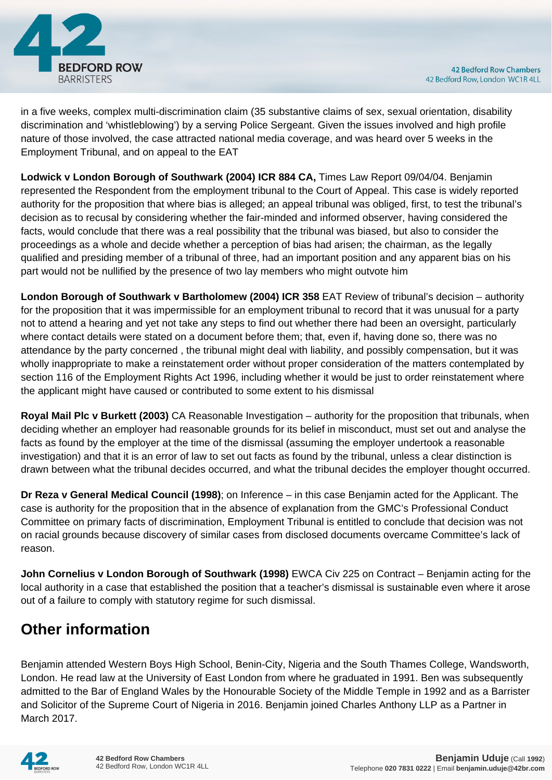

in a five weeks, complex multi-discrimination claim (35 substantive claims of sex, sexual orientation, disability discrimination and 'whistleblowing') by a serving Police Sergeant. Given the issues involved and high profile nature of those involved, the case attracted national media coverage, and was heard over 5 weeks in the Employment Tribunal, and on appeal to the EAT

**Lodwick v London Borough of Southwark (2004) ICR 884 CA,** Times Law Report 09/04/04. Benjamin represented the Respondent from the employment tribunal to the Court of Appeal. This case is widely reported authority for the proposition that where bias is alleged; an appeal tribunal was obliged, first, to test the tribunal's decision as to recusal by considering whether the fair-minded and informed observer, having considered the facts, would conclude that there was a real possibility that the tribunal was biased, but also to consider the proceedings as a whole and decide whether a perception of bias had arisen; the chairman, as the legally qualified and presiding member of a tribunal of three, had an important position and any apparent bias on his part would not be nullified by the presence of two lay members who might outvote him

**London Borough of Southwark v Bartholomew (2004) ICR 358** EAT Review of tribunal's decision – authority for the proposition that it was impermissible for an employment tribunal to record that it was unusual for a party not to attend a hearing and yet not take any steps to find out whether there had been an oversight, particularly where contact details were stated on a document before them; that, even if, having done so, there was no attendance by the party concerned , the tribunal might deal with liability, and possibly compensation, but it was wholly inappropriate to make a reinstatement order without proper consideration of the matters contemplated by section 116 of the Employment Rights Act 1996, including whether it would be just to order reinstatement where the applicant might have caused or contributed to some extent to his dismissal

**Royal Mail Plc v Burkett (2003)** CA Reasonable Investigation – authority for the proposition that tribunals, when deciding whether an employer had reasonable grounds for its belief in misconduct, must set out and analyse the facts as found by the employer at the time of the dismissal (assuming the employer undertook a reasonable investigation) and that it is an error of law to set out facts as found by the tribunal, unless a clear distinction is drawn between what the tribunal decides occurred, and what the tribunal decides the employer thought occurred.

**Dr Reza v General Medical Council (1998)**; on Inference – in this case Benjamin acted for the Applicant. The case is authority for the proposition that in the absence of explanation from the GMC's Professional Conduct Committee on primary facts of discrimination, Employment Tribunal is entitled to conclude that decision was not on racial grounds because discovery of similar cases from disclosed documents overcame Committee's lack of reason.

**John Cornelius v London Borough of Southwark (1998)** EWCA Civ 225 on Contract – Benjamin acting for the local authority in a case that established the position that a teacher's dismissal is sustainable even where it arose out of a failure to comply with statutory regime for such dismissal.

# **Other information**

Benjamin attended Western Boys High School, Benin-City, Nigeria and the South Thames College, Wandsworth, London. He read law at the University of East London from where he graduated in 1991. Ben was subsequently admitted to the Bar of England Wales by the Honourable Society of the Middle Temple in 1992 and as a Barrister and Solicitor of the Supreme Court of Nigeria in 2016. Benjamin joined Charles Anthony LLP as a Partner in March 2017.